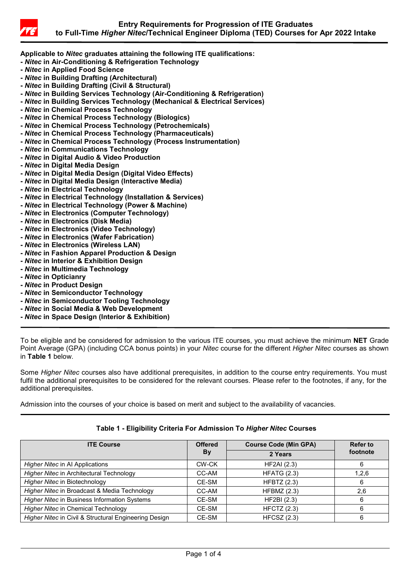

**Applicable to** *Nitec* **graduates attaining the following ITE qualifications:**

- **-** *Nitec* **in Air-Conditioning & Refrigeration Technology**
- **-** *Nitec* **in Applied Food Science**
- **-** *Nitec* **in Building Drafting (Architectural)**
- **-** *Nitec* **in Building Drafting (Civil & Structural)**
- **-** *Nitec* **in Building Services Technology (Air-Conditioning & Refrigeration)**
- **-** *Nitec* **in Building Services Technology (Mechanical & Electrical Services)**
- **-** *Nitec* **in Chemical Process Technology**
- **-** *Nitec* **in Chemical Process Technology (Biologics)**
- **-** *Nitec* **in Chemical Process Technology (Petrochemicals)**
- **-** *Nitec* **in Chemical Process Technology (Pharmaceuticals)**
- **-** *Nitec* **in Chemical Process Technology (Process Instrumentation)**
- **-** *Nitec* **in Communications Technology**
- **-** *Nitec* **in Digital Audio & Video Production**
- **-** *Nitec* **in Digital Media Design**
- **-** *Nitec* **in Digital Media Design (Digital Video Effects)**
- **-** *Nitec* **in Digital Media Design (Interactive Media)**
- **-** *Nitec* **in Electrical Technology**
- **-** *Nitec* **in Electrical Technology (Installation & Services)**
- **-** *Nitec* **in Electrical Technology (Power & Machine)**
- **-** *Nitec* **in Electronics (Computer Technology)**
- **-** *Nitec* **in Electronics (Disk Media)**
- **-** *Nitec* **in Electronics (Video Technology)**
- **-** *Nitec* **in Electronics (Wafer Fabrication)**
- **-** *Nitec* **in Electronics (Wireless LAN)**
- **-** *Nitec* **in Fashion Apparel Production & Design**
- **-** *Nitec* **in Interior & Exhibition Design**
- **-** *Nitec* **in Multimedia Technology**
- **-** *Nitec* **in Opticianry**
- **-** *Nitec* **in Product Design**
- **-** *Nitec* **in Semiconductor Technology**
- **-** *Nitec* **in Semiconductor Tooling Technology**
- **-** *Nitec* **in Social Media & Web Development**
- **-** *Nitec* **in Space Design (Interior & Exhibition)**

To be eligible and be considered for admission to the various ITE courses, you must achieve the minimum **NET** Grade Point Average (GPA) (including CCA bonus points) in your *Nitec* course for the different *Higher Nitec* courses as shown in **Table 1** below.

Some *Higher Nitec* courses also have additional prerequisites, in addition to the course entry requirements. You must fulfil the additional prerequisites to be considered for the relevant courses. Please refer to the footnotes, if any, for the additional prerequisites.

Admission into the courses of your choice is based on merit and subject to the availability of vacancies.

| <b>ITE Course</b>                                     | <b>Offered</b> | <b>Course Code (Min GPA)</b> | <b>Refer to</b> |
|-------------------------------------------------------|----------------|------------------------------|-----------------|
|                                                       | <b>By</b>      | 2 Years                      | footnote        |
| Higher Nitec in Al Applications                       | CW-CK          | <b>HF2AI</b> (2.3)           |                 |
| Higher Nitec in Architectural Technology              | CC-AM          | <b>HFATG (2.3)</b>           | 1,2,6           |
| Higher Nitec in Biotechnology                         | CE-SM          | <b>HFBTZ</b> (2.3)           |                 |
| Higher Nitec in Broadcast & Media Technology          | CC-AM          | HFBMZ (2.3)                  | 2,6             |
| <b>Higher Nitec in Business Information Systems</b>   | CE-SM          | HF2BI (2.3)                  |                 |
| <b>Higher Nitec in Chemical Technology</b>            | CE-SM          | <b>HFCTZ (2.3)</b>           |                 |
| Higher Nitec in Civil & Structural Engineering Design | CE-SM          | $HFCSZ$ (2.3)                |                 |

## **Table 1 - Eligibility Criteria For Admission To** *Higher Nitec* **Courses**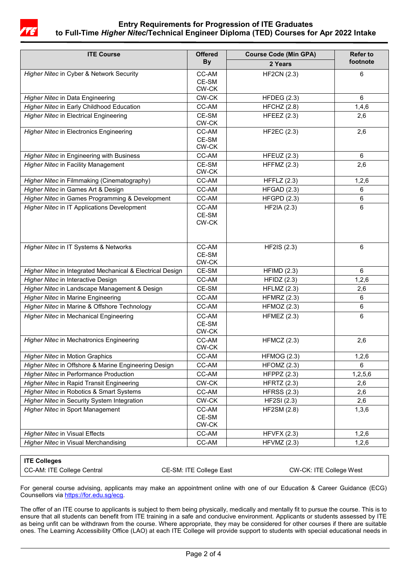

## **Entry Requirements for Progression of ITE Graduates to Full-Time** *Higher Nitec***/Technical Engineer Diploma (TED) Courses for Apr 2022 Intake**

| <b>ITE Course</b>                                         | <b>Offered</b><br><b>By</b>   | <b>Course Code (Min GPA)</b><br>2 Years | <b>Refer to</b><br>footnote |
|-----------------------------------------------------------|-------------------------------|-----------------------------------------|-----------------------------|
|                                                           |                               |                                         |                             |
| <b>Higher Nitec in Data Engineering</b>                   | CW-CK                         | HFDEG (2.3)                             | 6                           |
| Higher Nitec in Early Childhood Education                 | CC-AM                         | HFCHZ (2.8)                             | 1,4,6                       |
| <b>Higher Nitec in Electrical Engineering</b>             | CE-SM<br>CW-CK                | HFEEZ $(2.3)$                           | 2,6                         |
| <b>Higher Nitec in Electronics Engineering</b>            | CC-AM<br>CE-SM<br>CW-CK       | <b>HF2EC (2.3)</b>                      | 2,6                         |
| Higher Nitec in Engineering with Business                 | CC-AM                         | HFEUZ $(2.3)$                           | 6                           |
| <b>Higher Nitec in Facility Management</b>                | CE-SM<br>CW-CK                | <b>HFFMZ (2.3)</b>                      | 2,6                         |
| Higher Nitec in Filmmaking (Cinematography)               | CC-AM                         | HFFLZ $(2.3)$                           | 1,2,6                       |
| Higher Nitec in Games Art & Design                        | CC-AM                         | HFGAD (2.3)                             | 6                           |
| Higher Nitec in Games Programming & Development           | CC-AM                         | <b>HFGPD (2.3)</b>                      | 6                           |
| Higher Nitec in IT Applications Development               | CC-AM<br>CE-SM<br>CW-CK       | <b>HF2IA (2.3)</b>                      | 6                           |
| Higher Nitec in IT Systems & Networks                     | CC-AM<br>CE-SM<br>CW-CK       | <b>HF2IS (2.3)</b>                      | $6\phantom{1}$              |
| Higher Nitec in Integrated Mechanical & Electrical Design | CE-SM                         | HFIMD(2.3)                              | 6                           |
| Higher Nitec in Interactive Design                        | CC-AM                         | HFIDZ(2.3)                              | 1,2,6                       |
| Higher Nitec in Landscape Management & Design             | CE-SM                         | $HFLMZ$ (2.3)                           | 2,6                         |
| <b>Higher Nitec in Marine Engineering</b>                 | CC-AM                         | <b>HFMRZ (2.3)</b>                      | 6                           |
| Higher Nitec in Marine & Offshore Technology              | CC-AM                         | HFMOZ $(2.3)$                           | 6                           |
| <b>Higher Nitec in Mechanical Engineering</b>             | CC-AM<br>CE-SM<br>$CW$ - $CK$ | <b>HFMEZ (2.3)</b>                      | 6                           |
| Higher Nitec in Mechatronics Engineering                  | CC-AM<br>CW-CK                | HFMCZ $(2.3)$                           | 2,6                         |
| <b>Higher Nitec in Motion Graphics</b>                    | CC-AM                         | <b>HFMOG (2.3)</b>                      | 1,2,6                       |
| Higher Nitec in Offshore & Marine Engineering Design      | CC-AM                         | $H$ FOMZ $(2.3)$                        | 6                           |
| <b>Higher Nitec in Performance Production</b>             | CC-AM                         | HFPPZ $(2.3)$                           | 1,2,5,6                     |
| Higher Nitec in Rapid Transit Engineering                 | CW-CK                         | <b>HFRTZ (2.3)</b>                      | 2,6                         |
| Higher Nitec in Robotics & Smart Systems                  | CC-AM                         | <b>HFRSS (2.3)</b>                      | 2,6                         |
| Higher Nitec in Security System Integration               | CW-CK                         | <b>HF2SI (2.3)</b>                      | 2,6                         |
| Higher Nitec in Sport Management                          | CC-AM<br>CE-SM<br>CW-CK       | <b>HF2SM (2.8)</b>                      | 1,3,6                       |
| <b>Higher Nitec in Visual Effects</b>                     | CC-AM                         | HFVFX (2.3)                             | 1,2,6                       |
| Higher Nitec in Visual Merchandising                      | CC-AM                         | HFVMZ (2.3)                             | 1,2,6                       |

## **ITE Colleges**

CC-AM: ITE College Central CE-SM: ITE College East CW-CK: ITE College West

For general course advising, applicants may make an appointment online with one of our Education & Career Guidance (ECG) Counsellors vi[a https://for.edu.sg/ecg.](https://for.edu.sg/ecg)

The offer of an ITE course to applicants is subject to them being physically, medically and mentally fit to pursue the course. This is to ensure that all students can benefit from ITE training in a safe and conducive environment. Applicants or students assessed by ITE as being unfit can be withdrawn from the course. Where appropriate, they may be considered for other courses if there are suitable ones. The Learning Accessibility Office (LAO) at each ITE College will provide support to students with special educational needs in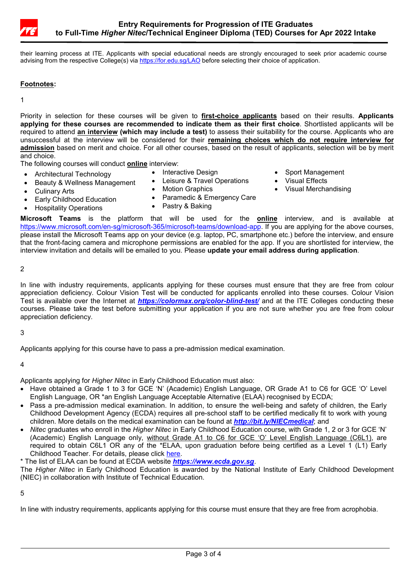

their learning process at ITE. Applicants with special educational needs are strongly encouraged to seek prior academic course advising from the respective College(s) vi[a https://for.edu.sg/LAO](https://for.edu.sg/LAO) before selecting their choice of application.

## **Footnotes:**

1

Priority in selection for these courses will be given to **first-choice applicants** based on their results. **Applicants applying for these courses are recommended to indicate them as their first choice**. Shortlisted applicants will be required to attend **an interview (which may include a test)** to assess their suitability for the course. Applicants who are unsuccessful at the interview will be considered for their **remaining choices which do not require interview for admission** based on merit and choice. For all other courses, based on the result of applicants, selection will be by merit and choice.

The following courses will conduct **online** interview:

- Architectural Technology
- Beauty & Wellness Management
- Culinary Arts
- Leisure & Travel Operations • Motion Graphics
- Sport Management
- Visual Effects
- Visual Merchandising

- Early Childhood Education • Hospitality Operations
- Paramedic & Emergency Care Pastry & Baking

• Interactive Design

**Microsoft Teams** is the platform that will be used for the **online** interview, and is available at [https://www.microsoft.com/en-sg/microsoft-365/microsoft-teams/download-app.](https://www.microsoft.com/en-sg/microsoft-365/microsoft-teams/download-app) If you are applying for the above courses, please install the Microsoft Teams app on your device (e.g. laptop, PC, smartphone etc.) before the interview, and ensure that the front-facing camera and microphone permissions are enabled for the app. If you are shortlisted for interview, the interview invitation and details will be emailed to you. Please **update your email address during application**.

2

In line with industry requirements, applicants applying for these courses must ensure that they are free from colour appreciation deficiency. Colour Vision Test will be conducted for applicants enrolled into these courses. Colour Vision Test is available over the Internet at *<https://colormax.org/color-blind-test/>* and at the ITE Colleges conducting these courses. Please take the test before submitting your application if you are not sure whether you are free from colour appreciation deficiency.

#### 3

Applicants applying for this course have to pass a pre-admission medical examination.

#### 4

Applicants applying for *Higher Nitec* in Early Childhood Education must also:

- Have obtained a Grade 1 to 3 for GCE 'N' (Academic) English Language, OR Grade A1 to C6 for GCE 'O' Level English Language, OR \*an English Language Acceptable Alternative (ELAA) recognised by ECDA;
- Pass a pre-admission medical examination. In addition, to ensure the well-being and safety of children, the Early Childhood Development Agency (ECDA) requires all pre-school staff to be certified medically fit to work with young children. More details on the medical examination can be found at *<http://bit.ly/NIECmedical>*; and
- *Nitec* graduates who enroll in the *Higher Nitec* in Early Childhood Education course, with Grade 1, 2 or 3 for GCE 'N' (Academic) English Language only, without Grade A1 to C6 for GCE 'O' Level English Language (C6L1), are required to obtain C6L1 OR any of the \*ELAA, upon graduation before being certified as a Level 1 (L1) Early Childhood Teacher. For details, please click [here.](https://www.ite.edu.sg/docs/default-source/full-time-courses-doc/higher-nitec/school-of-business-and-services/higher-nitec-in-early-childhood-education-full-time-progression-requirements.pdf)

\* The list of ELAA can be found at ECDA website *[https://www.ecda.gov.sg](https://www.ecda.gov.sg/)*.

The *Higher Nitec* in Early Childhood Education is awarded by the National Institute of Early Childhood Development (NIEC) in collaboration with Institute of Technical Education.

#### 5

In line with industry requirements, applicants applying for this course must ensure that they are free from acrophobia.